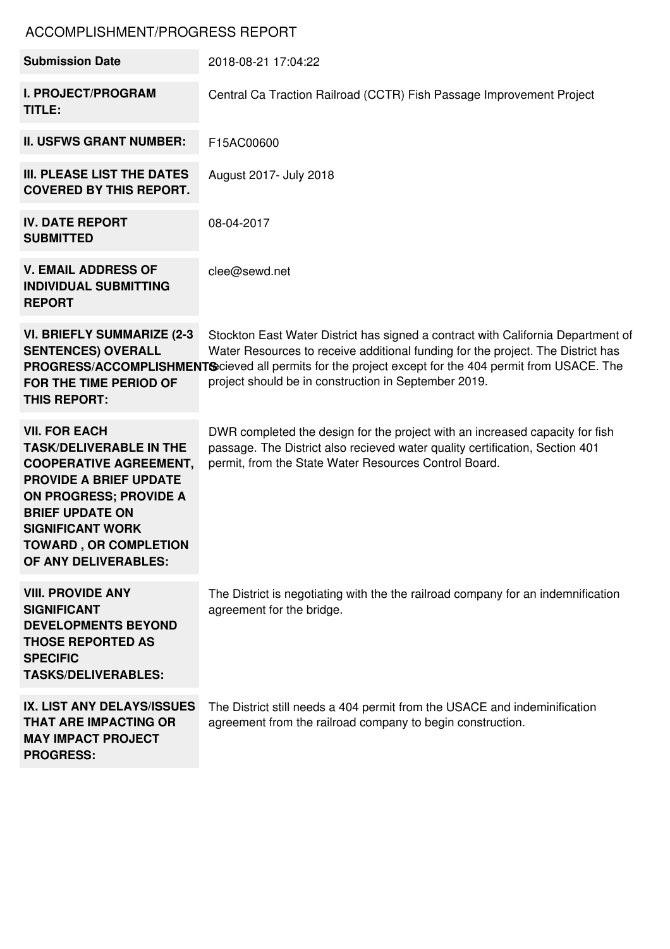## ACCOMPLISHMENT/PROGRESS REPORT

| <b>Submission Date</b>                                                                                                                                                                                                                                                 | 2018-08-21 17:04:22                                                                                                                                                                                                                                                                                                                  |
|------------------------------------------------------------------------------------------------------------------------------------------------------------------------------------------------------------------------------------------------------------------------|--------------------------------------------------------------------------------------------------------------------------------------------------------------------------------------------------------------------------------------------------------------------------------------------------------------------------------------|
| <b>I. PROJECT/PROGRAM</b><br>TITLE:                                                                                                                                                                                                                                    | Central Ca Traction Railroad (CCTR) Fish Passage Improvement Project                                                                                                                                                                                                                                                                 |
| <b>II. USFWS GRANT NUMBER:</b>                                                                                                                                                                                                                                         | F15AC00600                                                                                                                                                                                                                                                                                                                           |
| III. PLEASE LIST THE DATES<br><b>COVERED BY THIS REPORT.</b>                                                                                                                                                                                                           | August 2017- July 2018                                                                                                                                                                                                                                                                                                               |
| <b>IV. DATE REPORT</b><br><b>SUBMITTED</b>                                                                                                                                                                                                                             | 08-04-2017                                                                                                                                                                                                                                                                                                                           |
| <b>V. EMAIL ADDRESS OF</b><br><b>INDIVIDUAL SUBMITTING</b><br><b>REPORT</b>                                                                                                                                                                                            | clee@sewd.net                                                                                                                                                                                                                                                                                                                        |
| <b>VI. BRIEFLY SUMMARIZE (2-3)</b><br><b>SENTENCES) OVERALL</b><br>FOR THE TIME PERIOD OF<br><b>THIS REPORT:</b>                                                                                                                                                       | Stockton East Water District has signed a contract with California Department of<br>Water Resources to receive additional funding for the project. The District has<br>PROGRESS/ACCOMPLISHMENTS cieved all permits for the project except for the 404 permit from USACE. The<br>project should be in construction in September 2019. |
| <b>VII. FOR EACH</b><br><b>TASK/DELIVERABLE IN THE</b><br><b>COOPERATIVE AGREEMENT,</b><br><b>PROVIDE A BRIEF UPDATE</b><br><b>ON PROGRESS; PROVIDE A</b><br><b>BRIEF UPDATE ON</b><br><b>SIGNIFICANT WORK</b><br><b>TOWARD, OR COMPLETION</b><br>OF ANY DELIVERABLES: | DWR completed the design for the project with an increased capacity for fish<br>passage. The District also recieved water quality certification, Section 401<br>permit, from the State Water Resources Control Board.                                                                                                                |
| <b>VIII. PROVIDE ANY</b><br><b>SIGNIFICANT</b><br><b>DEVELOPMENTS BEYOND</b><br><b>THOSE REPORTED AS</b><br><b>SPECIFIC</b><br><b>TASKS/DELIVERABLES:</b>                                                                                                              | The District is negotiating with the the railroad company for an indemnification<br>agreement for the bridge.                                                                                                                                                                                                                        |
| IX. LIST ANY DELAYS/ISSUES<br><b>THAT ARE IMPACTING OR</b><br><b>MAY IMPACT PROJECT</b><br><b>PROGRESS:</b>                                                                                                                                                            | The District still needs a 404 permit from the USACE and indeminification<br>agreement from the railroad company to begin construction.                                                                                                                                                                                              |